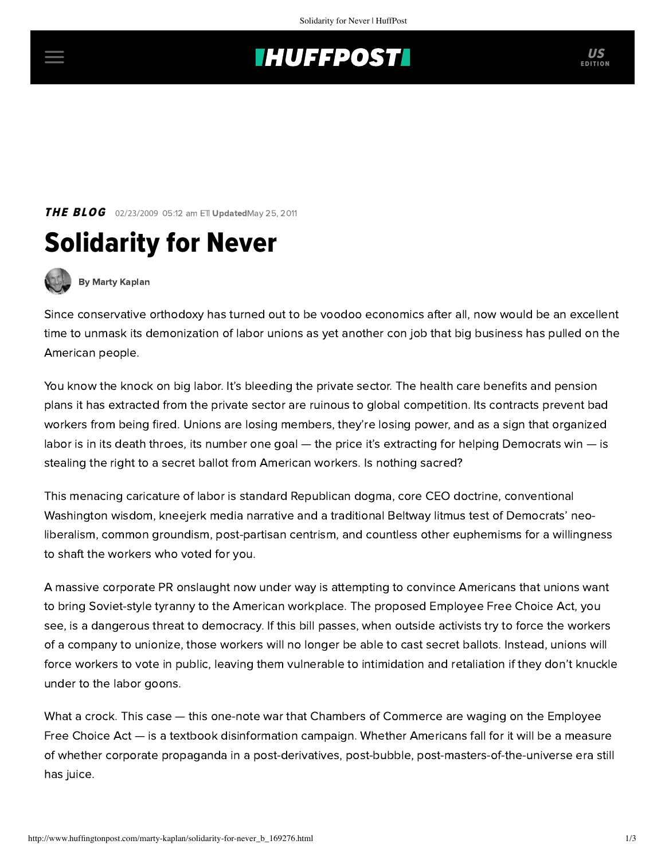## **THUFFPOST**

**THE BLOG** 02/23/2009 05:12 am ETI UpdatedMay 25, 2011





[By Marty Kaplan](http://www.huffingtonpost.com/author/marty-kaplan)

Since conservative orthodoxy has turned out to be voodoo economics after all, now would be an excellent time to unmask its demonization of labor unions as yet another con job that big business has pulled on the American people.

You know the knock on big labor. It's bleeding the private sector. The health care benefits and pension plans it has extracted from the private sector are ruinous to global competition. Its contracts prevent bad workers from being fired. Unions are losing members, they're losing power, and as a sign that organized labor is in its death throes, its number one goal — the price it's extracting for helping Democrats win — is stealing the right to a secret ballot from American workers. Is nothing sacred?

This menacing caricature of labor is standard Republican dogma, core CEO doctrine, conventional Washington wisdom, kneejerk media narrative and a traditional Beltway litmus test of Democrats' neoliberalism, common groundism, post-partisan centrism, and countless other euphemisms for a willingness to shaft the workers who voted for you.

A massive [corporate PR onslaught](http://www.unionfacts.com/) now under way is attempting to convince Americans that unions want to bring Soviet-style tyranny to the American workplace. The proposed Employee Free Choice Act, you see, is a dangerous threat to democracy. If this bill passes, when outside activists try to force the workers of a company to unionize, those workers will no longer be able to cast secret ballots. Instead, unions will force workers to vote in public, leaving them vulnerable to intimidation and retaliation if they don't knuckle under to the labor goons.

What a crock. This case — this one-note war that Chambers of Commerce are waging on the Employee Free Choice Act — is a textbook disinformation campaign. Whether Americans fall for it will be a measure of whether corporate propaganda in a post-derivatives, post-bubble, post-masters-of-the-universe era still has juice.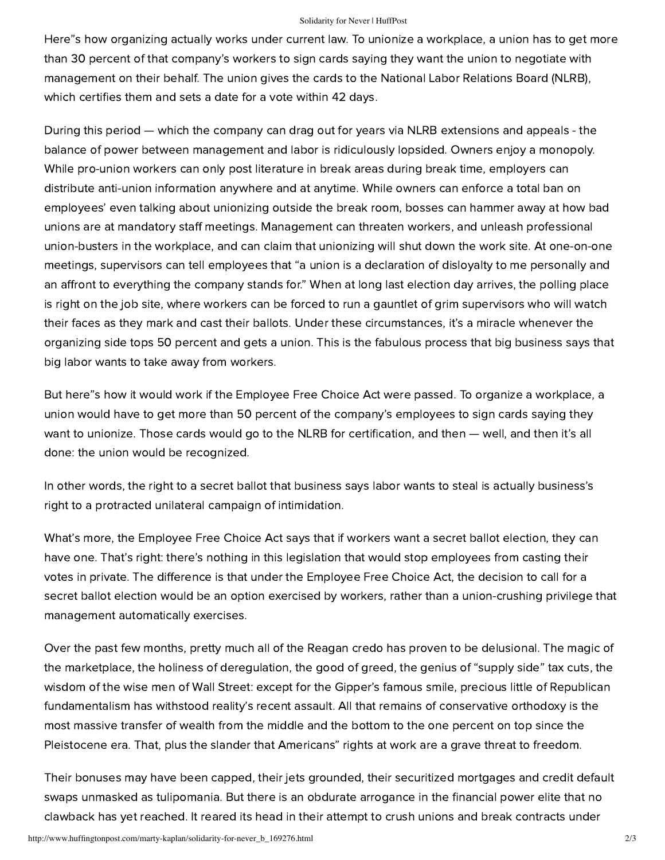## Solidarity for Never | HuffPost

[Here"s how](http://firedoglake.com/2009/01/23/schools-in-what-ambinder-and-america-still-needs-to-learn-about-employee-free-choice/) organizing actually works under current law. To unionize a workplace, a union has to get more than 30 percent of that company's workers to sign cards saying they want the union to negotiate with management on their behalf. The union gives the cards to the National Labor Relations Board (NLRB), which certifies them and sets a date for a vote within 42 days.

During this period — which the company can drag out for years via NLRB extensions and appeals - the [balance of power](http://www.americanrightsatwork.org/dmdocuments/ARAWReports/FreeandFair%20FINAL.pdf) between management and labor is ridiculously lopsided. Owners enjoy a monopoly. While pro-union workers can only post literature in break areas during break time, employers can distribute anti-union information anywhere and at anytime. While owners can enforce a total ban on employees' even talking about unionizing outside the break room, bosses can hammer away at how bad unions are at mandatory staff meetings. Management can threaten workers, and unleash professional union-busters in the workplace, and can claim that unionizing will shut down the work site. At one-on-one meetings, supervisors can tell employees that "a union isa [declaration of disloyalty](http://www.americanrightsatwork.org/publications/general/free-and-fair-how-labor-law-fails-u.s.-democratic-election-standards.html) to me personally and an affront to everything the company stands for." When at long last election day arrives, the polling place is right on the job site, where workers can be forced to run a gauntlet of grim supervisors who will watch their faces as they mark and cast their ballots. Under these circumstances, it's a miracle whenever the organizing side tops 50 percent and gets a union. This is the fabulous process that big business says that big labor wants to take away from workers.

But [here"s how](http://www.americanrightsatwork.org/employee-free-choice-act/resource-library/why-workers-need-the-employee-free-choice-act.html) it would work if the Employee Free Choice Act were passed. To organize a workplace, a union would have to get more than 50 percent of the company's employees to sign cards saying they want to unionize. Those cards would go to the NLRB for certification, and then — well, and then it's all done: the union would be recognized.

In other words, the right to a secret ballot that business says labor wants to steal is actually business's right to a protracted unilateral campaign of intimidation.

What's more, the Employee Free Choice Act says that if workers want a secret ballot election, they can have one. That's right: there's nothing in this legislation that would stop employees from casting their votes in private. The difference is that under the Employee Free Choice Act, the decision to call for a secret ballot election would be an option exercised by workers, rather than a union-crushing privilege that management automatically exercises.

Over the past few months, pretty much all of the Reagan credo has proven to be delusional. The magic of the marketplace, the holiness of deregulation, the good of greed, the genius of "supply side" tax cuts, the wisdom of the wise men of Wall Street: except for the Gipper's famous smile, precious little of Republican fundamentalism has withstood reality's recent assault. All that remains of conservative orthodoxy is the most massive transfer of wealth from the middle and the bottom to the one percent on top since the Pleistocene era. That, plus the slander that [Americans" rights at work](http://www.americanrightsatwork.org/) are a grave threat to freedom.

Their bonuses may have been capped, their jets grounded, their securitized mortgages and credit default swaps unmasked as tulipomania. But there is an obdurate arrogance in the financial power elite that no clawback has yet reached. It reared its head in their attempt to crush unions and break contracts under